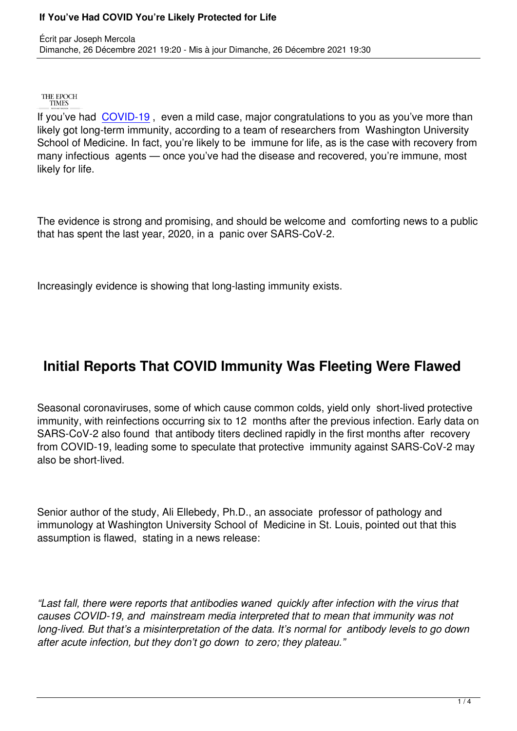THE EPOCH **TIMES** 

Écrit par Joseph Mercola

If you've had COVID-19 , even a mild case, major congratulations to you as you've more than likely got long-term immunity, according to a team of researchers from Washington University School of Medicine. In fact, you're likely to be immune for life, as is the case with recovery from many infectio[us agents —](https://www.theepochtimes.com/t-covid-19) once you've had the disease and recovered, you're immune, most likely for life.

The evidence is strong and promising, and should be welcome and comforting news to a public that has spent the last year, 2020, in a panic over SARS-CoV-2.

Increasingly evidence is showing that long-lasting immunity exists.

## **Initial Reports That COVID Immunity Was Fleeting Were Flawed**

Seasonal coronaviruses, some of which cause common colds, yield only short-lived protective immunity, with reinfections occurring six to 12 months after the previous infection. Early data on SARS-CoV-2 also found that antibody titers declined rapidly in the first months after recovery from COVID-19, leading some to speculate that protective immunity against SARS-CoV-2 may also be short-lived.

Senior author of the study, Ali Ellebedy, Ph.D., an associate professor of pathology and immunology at Washington University School of Medicine in St. Louis, pointed out that this assumption is flawed, stating in a news release:

*"Last fall, there were reports that antibodies waned quickly after infection with the virus that causes COVID-19, and mainstream media interpreted that to mean that immunity was not long-lived. But that's a misinterpretation of the data. It's normal for antibody levels to go down after acute infection, but they don't go down to zero; they plateau."*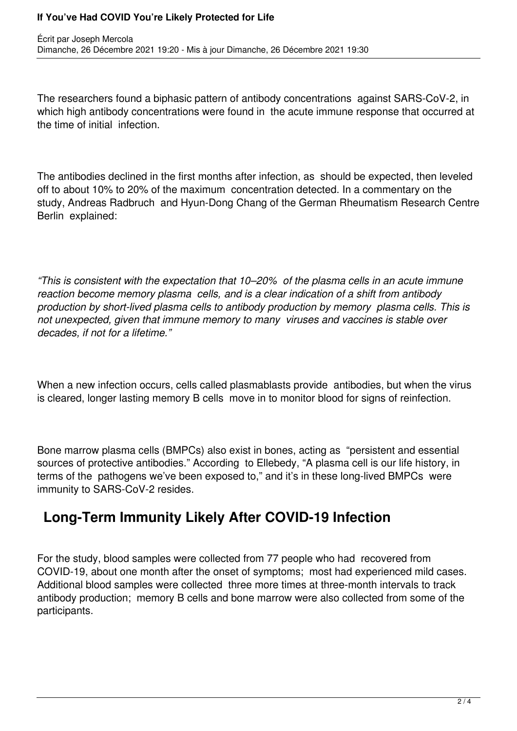### **If You've Had COVID You're Likely Protected for Life**

The researchers found a biphasic pattern of antibody concentrations against SARS-CoV-2, in which high antibody concentrations were found in the acute immune response that occurred at the time of initial infection.

The antibodies declined in the first months after infection, as should be expected, then leveled off to about 10% to 20% of the maximum concentration detected. In a commentary on the study, Andreas Radbruch and Hyun-Dong Chang of the German Rheumatism Research Centre Berlin explained:

*"This is consistent with the expectation that 10–20% of the plasma cells in an acute immune reaction become memory plasma cells, and is a clear indication of a shift from antibody production by short-lived plasma cells to antibody production by memory plasma cells. This is not unexpected, given that immune memory to many viruses and vaccines is stable over decades, if not for a lifetime."*

When a new infection occurs, cells called plasmablasts provide antibodies, but when the virus is cleared, longer lasting memory B cells move in to monitor blood for signs of reinfection.

Bone marrow plasma cells (BMPCs) also exist in bones, acting as "persistent and essential sources of protective antibodies." According to Ellebedy, "A plasma cell is our life history, in terms of the pathogens we've been exposed to," and it's in these long-lived BMPCs were immunity to SARS-CoV-2 resides.

# **Long-Term Immunity Likely After COVID-19 Infection**

For the study, blood samples were collected from 77 people who had recovered from COVID-19, about one month after the onset of symptoms; most had experienced mild cases. Additional blood samples were collected three more times at three-month intervals to track antibody production; memory B cells and bone marrow were also collected from some of the participants.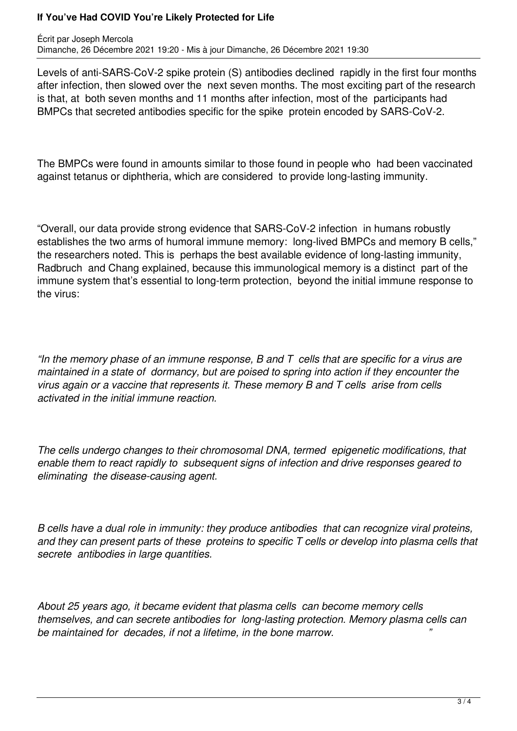### **If You've Had COVID You're Likely Protected for Life**

Levels of anti-SARS-CoV-2 spike protein (S) antibodies declined rapidly in the first four months after infection, then slowed over the next seven months. The most exciting part of the research is that, at both seven months and 11 months after infection, most of the participants had BMPCs that secreted antibodies specific for the spike protein encoded by SARS-CoV-2.

The BMPCs were found in amounts similar to those found in people who had been vaccinated against tetanus or diphtheria, which are considered to provide long-lasting immunity.

"Overall, our data provide strong evidence that SARS-CoV-2 infection in humans robustly establishes the two arms of humoral immune memory: long-lived BMPCs and memory B cells," the researchers noted. This is perhaps the best available evidence of long-lasting immunity, Radbruch and Chang explained, because this immunological memory is a distinct part of the immune system that's essential to long-term protection, beyond the initial immune response to the virus:

*"In the memory phase of an immune response, B and T cells that are specific for a virus are maintained in a state of dormancy, but are poised to spring into action if they encounter the virus again or a vaccine that represents it. These memory B and T cells arise from cells activated in the initial immune reaction.*

*The cells undergo changes to their chromosomal DNA, termed epigenetic modifications, that enable them to react rapidly to subsequent signs of infection and drive responses geared to eliminating the disease-causing agent.*

*B cells have a dual role in immunity: they produce antibodies that can recognize viral proteins, and they can present parts of these proteins to specific T cells or develop into plasma cells that secrete antibodies in large quantities.*

*About 25 years ago, it became evident that plasma cells can become memory cells themselves, and can secrete antibodies for long-lasting protection. Memory plasma cells can be maintained for decades, if not a lifetime, in the bone marrow. "*